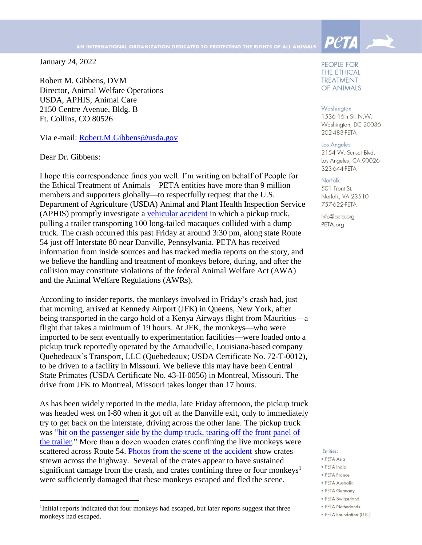January 24, 2022

Robert M. Gibbens, DVM Director, Animal Welfare Operations USDA, APHIS, Animal Care 2150 Centre Avenue, Bldg. B Ft. Collins, CO 80526

Via e-mail: [Robert.M.Gibbens@usda.gov](mailto:Robert.M.Gibbens@usda.gov)

Dear Dr. Gibbens:

 $\overline{a}$ 

I hope this correspondence finds you well. I'm writing on behalf of People for the Ethical Treatment of Animals—PETA entities have more than 9 million members and supporters globally—to respectfully request that the U.S. Department of Agriculture (USDA) Animal and Plant Health Inspection Service (APHIS) promptly investigate a [vehicular accident](https://www.psp.pa.gov/PIRRs/Milton%20Press%20Releases/F_MILT_22JAN2022_1823.pdf) in which a pickup truck, pulling a trailer transporting 100 long-tailed macaques collided with a dump truck. The crash occurred this past Friday at around 3:30 pm, along state Route 54 just off Interstate 80 near Danville, Pennsylvania. PETA has received information from inside sources and has tracked media reports on the story, and we believe the handling and treatment of monkeys before, during, and after the collision may constitute violations of the federal Animal Welfare Act (AWA) and the Animal Welfare Regulations (AWRs).

According to insider reports, the monkeys involved in Friday's crash had, just that morning, arrived at Kennedy Airport (JFK) in Queens, New York, after being transported in the cargo hold of a Kenya Airways flight from Mauritius—a flight that takes a minimum of 19 hours. At JFK, the monkeys—who were imported to be sent eventually to experimentation facilities—were loaded onto a pickup truck reportedly operated by the Arnaudville, Louisiana-based company Quebedeaux's Transport, LLC (Quebedeaux; USDA Certificate No. 72-T-0012), to be driven to a facility in Missouri. We believe this may have been Central State Primates (USDA Certificate No. 43-H-0056) in Montreal, Missouri. The drive from JFK to Montreal, Missouri takes longer than 17 hours.

As has been widely reported in the media, late Friday afternoon, the pickup truck was headed west on I-80 when it got off at the Danville exit, only to immediately try to get back on the interstate, driving across the other lane. The pickup truck was ["hit on the passenger side by the dump truck, tearing off the front panel of](https://bangordailynews.com/2022/01/22/news/nation/police-warn-people-to-not-approach-lab-monkey-missing-after-pennsylvania-crash/)  [the trailer.](https://bangordailynews.com/2022/01/22/news/nation/police-warn-people-to-not-approach-lab-monkey-missing-after-pennsylvania-crash/)" More than a dozen wooden crates confining the live monkeys were scattered across Route 54. [Photos from the scene of the accident](https://www.pennlive.com/news/2022/01/all-monkeys-accounted-for-after-tractor-trailer-crash-police.html) show crates strewn across the highway. Several of the crates appear to have sustained significant damage from the crash, and crates confining three or four monkeys<sup>1</sup> were sufficiently damaged that these monkeys escaped and fled the scene.

PEOPLE FOR **THE ETHICAL TREATMENT** OF ANIMALS

**Peta** 

# Washington

1536 16th St. N.W. Washington, DC 20036 202-483-PETA

Los Angeles

2154 W. Sunset Blvd. Los Angeles, CA 90026 323-644-PETA

Norfolk

501 Front St. Norfolk, VA 23510 757-622-PETA

Info@peta.org PETA.org

## Entities:

- · PETA Asia
- · PETA India • PETA France
- 
- PETA Australia • PETA Germany
- · PETA Switzerland
- PETA Netherlands
- · PETA Foundation (U.K.)

<sup>&</sup>lt;sup>1</sup>Initial reports indicated that four monkeys had escaped, but later reports suggest that three monkeys had escaped.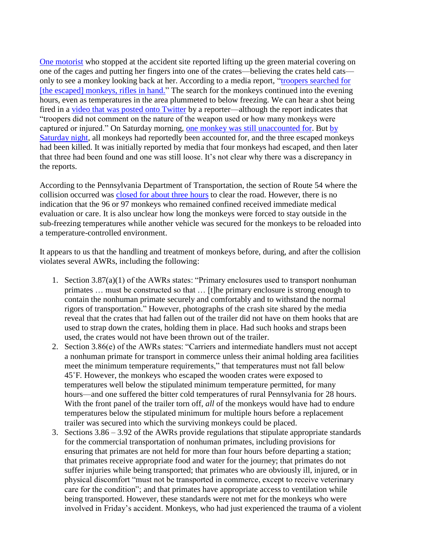[One motorist](https://twitter.com/MKeelyNews/status/1484938826921484294?s=20) who stopped at the accident site reported lifting up the green material covering on one of the cages and putting her fingers into one of the crates—believing the crates held cats only to see a monkey looking back at her. According to a media report, ["troopers searched for](https://bangordailynews.com/2022/01/22/news/nation/police-warn-people-to-not-approach-lab-monkey-missing-after-pennsylvania-crash/)  [\[the escaped\] monkeys, rifles in hand."](https://bangordailynews.com/2022/01/22/news/nation/police-warn-people-to-not-approach-lab-monkey-missing-after-pennsylvania-crash/) The search for the monkeys continued into the evening hours, even as temperatures in the area plummeted to below freezing. We can hear a shot being fired in a [video that was posted onto Twitter](https://twitter.com/MKeelyNews/status/1484938826921484294?s=20) by a reporter—although the report indicates that "troopers did not comment on the nature of the weapon used or how many monkeys were captured or injured." On Saturday morning, [one monkey was still unaccounted for.](https://www.wnep.com/article/news/local/montour-county/four-monkeys-on-the-loose-in-danville-montour-county-pa-game-commission-state-police/523-b35915cc-ae20-444a-b0a7-dfe2c1986401) But [by](https://www.cnn.com/2022/01/22/us/pennsylvania-monkey-crash-trnd/index.html)  [Saturday night,](https://www.cnn.com/2022/01/22/us/pennsylvania-monkey-crash-trnd/index.html) all monkeys had reportedly been accounted for, and the three escaped monkeys had been killed. It was initially reported by media that four monkeys had escaped, and then later that three had been found and one was still loose. It's not clear why there was a discrepancy in the reports.

According to the Pennsylvania Department of Transportation, the section of Route 54 where the collision occurred was [closed for about three hours](https://www.nbcnews.com/news/us-news/monkeys-loose-pennsylvania-highway-crash-rcna13149) to clear the road. However, there is no indication that the 96 or 97 monkeys who remained confined received immediate medical evaluation or care. It is also unclear how long the monkeys were forced to stay outside in the sub-freezing temperatures while another vehicle was secured for the monkeys to be reloaded into a temperature-controlled environment.

It appears to us that the handling and treatment of monkeys before, during, and after the collision violates several AWRs, including the following:

- 1. Section 3.87(a)(1) of the AWRs states: "Primary enclosures used to transport nonhuman primates … must be constructed so that … [t]he primary enclosure is strong enough to contain the nonhuman primate securely and comfortably and to withstand the normal rigors of transportation." However, photographs of the crash site shared by the media reveal that the crates that had fallen out of the trailer did not have on them hooks that are used to strap down the crates, holding them in place. Had such hooks and straps been used, the crates would not have been thrown out of the trailer.
- 2. Section 3.86(e) of the AWRs states: "Carriers and intermediate handlers must not accept a nonhuman primate for transport in commerce unless their animal holding area facilities meet the minimum temperature requirements," that temperatures must not fall below 45˚F. However, the monkeys who escaped the wooden crates were exposed to temperatures well below the stipulated minimum temperature permitted, for many hours—and one suffered the bitter cold temperatures of rural Pennsylvania for 28 hours. With the front panel of the trailer torn off, *all* of the monkeys would have had to endure temperatures below the stipulated minimum for multiple hours before a replacement trailer was secured into which the surviving monkeys could be placed.
- 3. Sections 3.86 3.92 of the AWRs provide regulations that stipulate appropriate standards for the commercial transportation of nonhuman primates, including provisions for ensuring that primates are not held for more than four hours before departing a station; that primates receive appropriate food and water for the journey; that primates do not suffer injuries while being transported; that primates who are obviously ill, injured, or in physical discomfort "must not be transported in commerce, except to receive veterinary care for the condition"; and that primates have appropriate access to ventilation while being transported. However, these standards were not met for the monkeys who were involved in Friday's accident. Monkeys, who had just experienced the trauma of a violent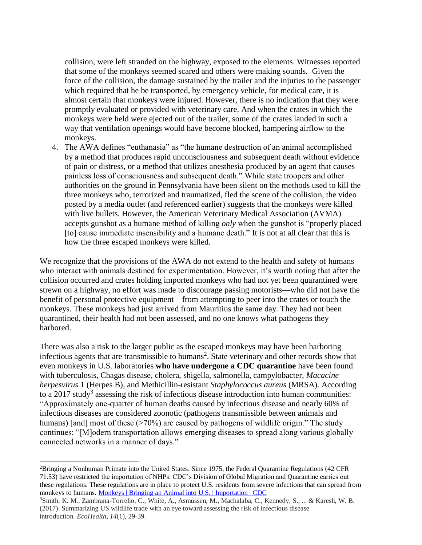collision, were left stranded on the highway, exposed to the elements. Witnesses reported that some of the monkeys seemed scared and others were making sounds. Given the force of the collision, the damage sustained by the trailer and the injuries to the passenger which required that he be transported, by emergency vehicle, for medical care, it is almost certain that monkeys were injured. However, there is no indication that they were promptly evaluated or provided with veterinary care. And when the crates in which the monkeys were held were ejected out of the trailer, some of the crates landed in such a way that ventilation openings would have become blocked, hampering airflow to the monkeys.

4. The AWA defines "euthanasia" as "the humane destruction of an animal accomplished by a method that produces rapid unconsciousness and subsequent death without evidence of pain or distress, or a method that utilizes anesthesia produced by an agent that causes painless loss of consciousness and subsequent death." While state troopers and other authorities on the ground in Pennsylvania have been silent on the methods used to kill the three monkeys who, terrorized and traumatized, fled the scene of the collision, the video posted by a media outlet (and referenced earlier) suggests that the monkeys were killed with live bullets. However, the American Veterinary Medical Association (AVMA) accepts gunshot as a humane method of killing *only* when the gunshot is "properly placed [to] cause immediate insensibility and a humane death." It is not at all clear that this is how the three escaped monkeys were killed.

We recognize that the provisions of the AWA do not extend to the health and safety of humans who interact with animals destined for experimentation. However, it's worth noting that after the collision occurred and crates holding imported monkeys who had not yet been quarantined were strewn on a highway, no effort was made to discourage passing motorists—who did not have the benefit of personal protective equipment—from attempting to peer into the crates or touch the monkeys. These monkeys had just arrived from Mauritius the same day. They had not been quarantined, their health had not been assessed, and no one knows what pathogens they harbored.

There was also a risk to the larger public as the escaped monkeys may have been harboring infectious agents that are transmissible to humans<sup>2</sup>. State veterinary and other records show that even monkeys in U.S. laboratories **who have undergone a CDC quarantine** have been found with tuberculosis, Chagas disease, cholera, shigella, salmonella, campylobacter, *Macacine herpesvirus* 1 (Herpes B), and Methicillin-resistant *Staphylococcus aureus* (MRSA). According to a 2017 study<sup>3</sup> assessing the risk of infectious disease introduction into human communities: "Approximately one-quarter of human deaths caused by infectious disease and nearly 60% of infectious diseases are considered zoonotic (pathogens transmissible between animals and humans) [and] most of these  $(270\%)$  are caused by pathogens of wildlife origin." The study continues: "[M]odern transportation allows emerging diseases to spread along various globally connected networks in a manner of days."

 $\overline{a}$ 

<sup>&</sup>lt;sup>2</sup>Bringing a Nonhuman Primate into the United States. Since 1975, the Federal Quarantine Regulations (42 CFR 71.53) have restricted the importation of NHPs. CDC's Division of Global Migration and Quarantine carries out these regulations. These regulations are in place to protect U.S. residents from severe infections that can spread from monkeys to humans. [Monkeys | Bringing an Animal into U.S. | Importation | CDC](https://www.cdc.gov/importation/bringing-an-animal-into-the-united-states/monkeys.html?CDC_AA_refVal=https%3A%2F%2Fwww.cdc.gov%2Fimportation%2Flaws-and-regulations%2Fnonhuman-primates%2Fnprm%2Findex.html)

<sup>3</sup>Smith, K. M., Zambrana-Torrelio, C., White, A., Asmussen, M., Machalaba, C., Kennedy, S., ... & Karesh, W. B. (2017). Summarizing US wildlife trade with an eye toward assessing the risk of infectious disease introduction. *EcoHealth*, *14*(1), 29-39.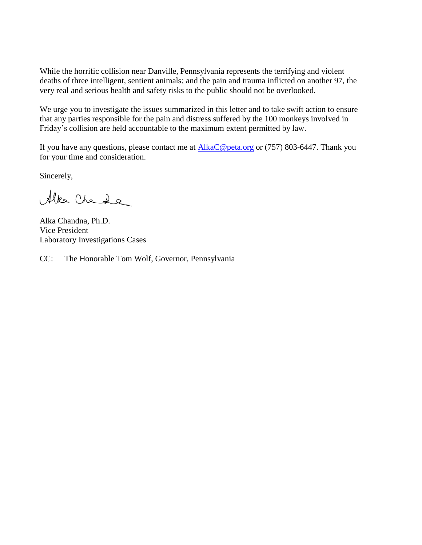While the horrific collision near Danville, Pennsylvania represents the terrifying and violent deaths of three intelligent, sentient animals; and the pain and trauma inflicted on another 97, the very real and serious health and safety risks to the public should not be overlooked.

We urge you to investigate the issues summarized in this letter and to take swift action to ensure that any parties responsible for the pain and distress suffered by the 100 monkeys involved in Friday's collision are held accountable to the maximum extent permitted by law.

If you have any questions, please contact me at  $AlkaC@peta.org$  or (757) 803-6447. Thank you for your time and consideration.

Sincerely,

Alke Chede

Alka Chandna, Ph.D. Vice President Laboratory Investigations Cases

CC: The Honorable Tom Wolf, Governor, Pennsylvania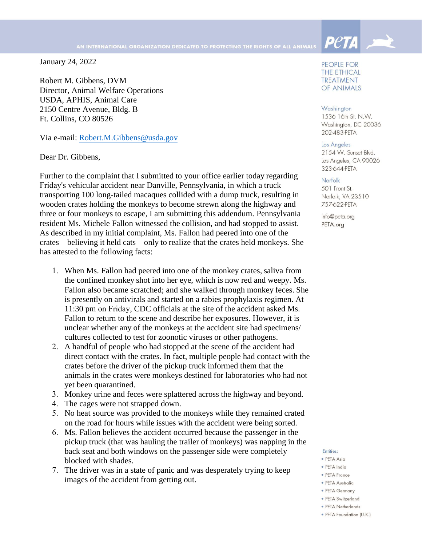January 24, 2022

Robert M. Gibbens, DVM Director, Animal Welfare Operations USDA, APHIS, Animal Care 2150 Centre Avenue, Bldg. B Ft. Collins, CO 80526

Via e-mail: Robert.M.Gibbens@usda.gov

Dear Dr. Gibbens,

Further to the complaint that I submitted to your office earlier today regarding Friday's vehicular accident near Danville, Pennsylvania, in which a truck transporting 100 long-tailed macaques collided with a dump truck, resulting in wooden crates holding the monkeys to become strewn along the highway and three or four monkeys to escape, I am submitting this addendum. Pennsylvania resident Ms. Michele Fallon witnessed the collision, and had stopped to assist. As described in my initial complaint, Ms. Fallon had peered into one of the crates—believing it held cats—only to realize that the crates held monkeys. She has attested to the following facts:

- 1. When Ms. Fallon had peered into one of the monkey crates, saliva from the confined monkey shot into her eye, which is now red and weepy. Ms. Fallon also became scratched; and she walked through monkey feces. She is presently on antivirals and started on a rabies prophylaxis regimen. At 11:30 pm on Friday, CDC officials at the site of the accident asked Ms. Fallon to return to the scene and describe her exposures. However, it is unclear whether any of the monkeys at the accident site had specimens/ cultures collected to test for zoonotic viruses or other pathogens.
- 2. A handful of people who had stopped at the scene of the accident had direct contact with the crates. In fact, multiple people had contact with the crates before the driver of the pickup truck informed them that the animals in the crates were monkeys destined for laboratories who had not yet been quarantined.
- 3. Monkey urine and feces were splattered across the highway and beyond.
- 4. The cages were not strapped down.
- 5. No heat source was provided to the monkeys while they remained crated on the road for hours while issues with the accident were being sorted.
- 6. Ms. Fallon believes the accident occurred because the passenger in the pickup truck (that was hauling the trailer of monkeys) was napping in the back seat and both windows on the passenger side were completely blocked with shades.
- 7. The driver was in a state of panic and was desperately trying to keep images of the accident from getting out.

PEOPLE FOR **THE ETHICAL TREATMENT** OF ANIMALS

**PetA** 

## Washington

1536 16th St. N.W. Washington, DC 20036 202-483-PETA

## Los Angeles

2154 W. Sunset Blvd. Los Angeles, CA 90026 323-644-PETA

#### Norfolk

501 Front St. Norfolk, VA 23510 757-622-PETA

Info@peta.org PETA.org

#### Entities:

- · PETA Asia
- · PETA India
- PETA France
- PETA Australia
- PETA Germany
- · PFTA Switzerland
- PETA Netherlands
- · PETA Foundation (U.K.)